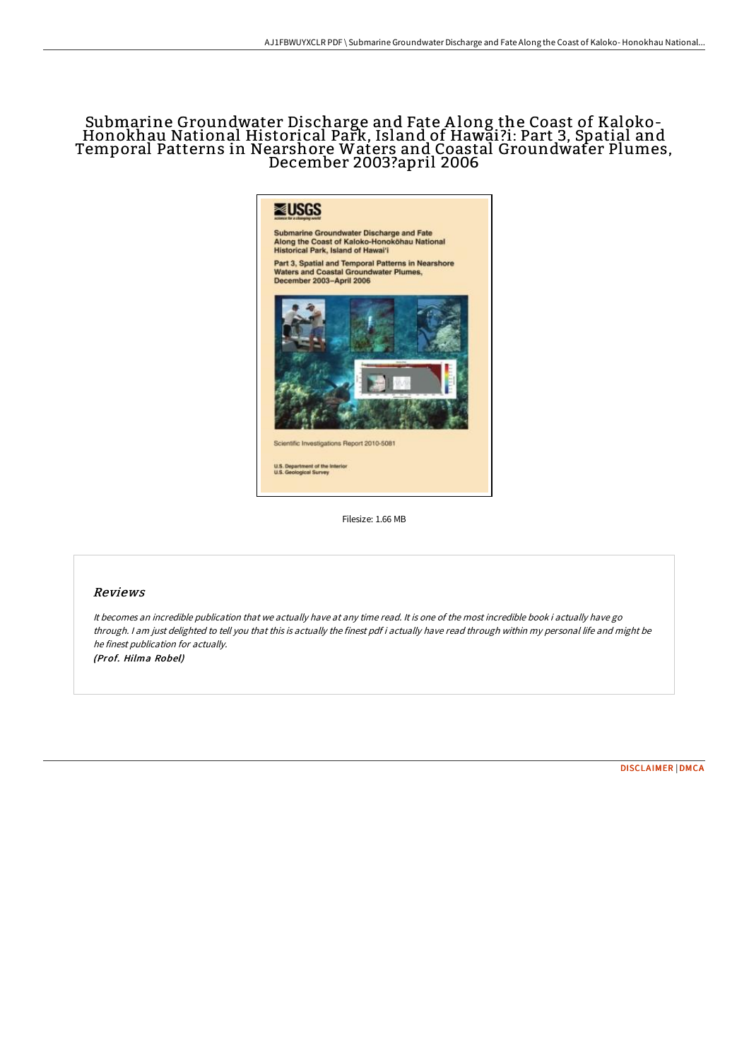# Submarine Groundwater Discharge and Fate <sup>A</sup> long the Coast of Kaloko- Honokhau National Historical Park, Island of Hawai ?i: Part 3, Spatial and Temporal Patterns in Nearshore Waters and Coastal Groundwater Plumes, December 2003?april 2006



Filesize: 1.66 MB

## Reviews

It becomes an incredible publication that we actually have at any time read. It is one of the most incredible book i actually have go through. <sup>I</sup> am just delighted to tell you that this is actually the finest pdf i actually have read through within my personal life and might be he finest publication for actually.

(Prof. Hilma Robel)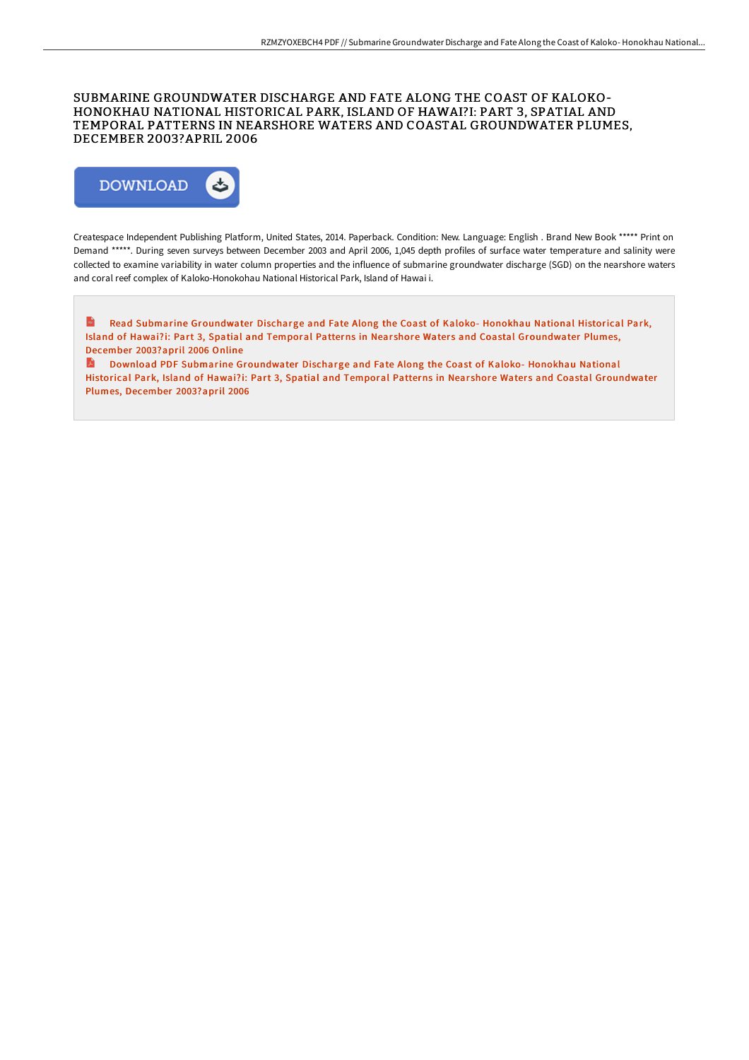## SUBMARINE GROUNDWATER DISCHARGE AND FATE ALONG THE COAST OF KALOKO-HONOKHAU NATIONAL HISTORICAL PARK, ISLAND OF HAWAI?I: PART 3, SPATIAL AND TEMPORAL PATTERNS IN NEARSHORE WATERS AND COASTAL GROUNDWATER PLUMES, DECEMBER 2003?APRIL 2006



Createspace Independent Publishing Platform, United States, 2014. Paperback. Condition: New. Language: English . Brand New Book \*\*\*\*\* Print on Demand \*\*\*\*\*. During seven surveys between December 2003 and April 2006, 1,045 depth profiles of surface water temperature and salinity were collected to examine variability in water column properties and the influence of submarine groundwater discharge (SGD) on the nearshore waters and coral reef complex of Kaloko-Honokohau National Historical Park, Island of Hawai i.

 $\mathbf{m}$ Read Submarine Groundwater Discharge and Fate Along the Coast of Kaloko- Honokhau National Historical Park, Island of Hawai?i: Part 3, Spatial and Temporal Patterns in Nearshore Waters and Coastal [Groundwater](http://albedo.media/submarine-groundwater-discharge-and-fate-along-t-1.html) Plumes, December 2003?april 2006 Online

B. Download PDF Submarine Groundwater Discharge and Fate Along the Coast of Kaloko- Honokhau National Historical Park, Island of Hawai?i: Part 3, Spatial and Temporal Patterns in Nearshore Waters and Coastal [Groundwater](http://albedo.media/submarine-groundwater-discharge-and-fate-along-t-1.html) Plumes, December 2003?april 2006